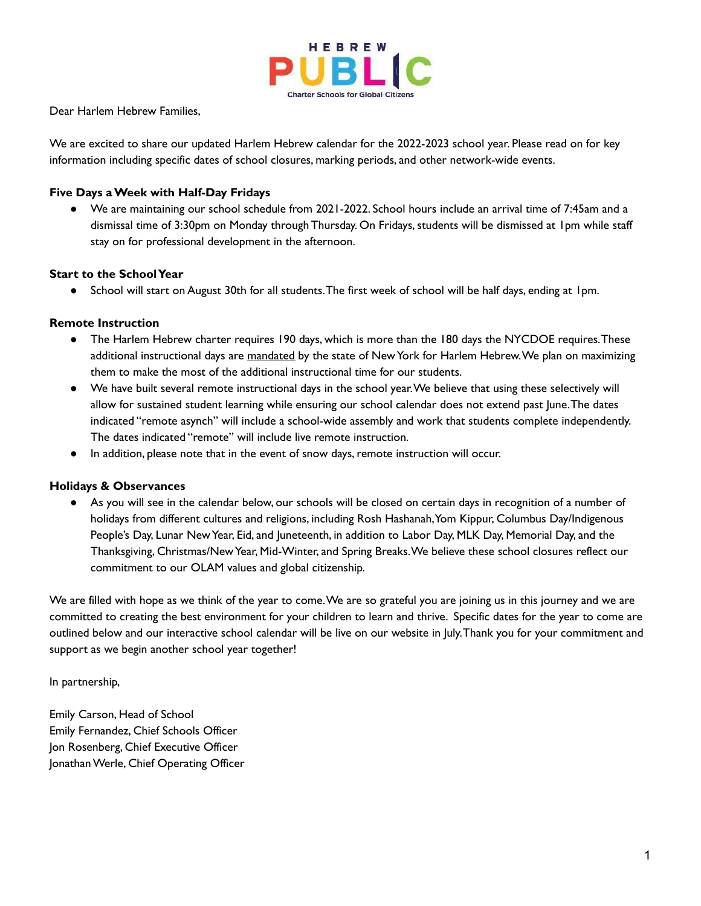

Dear Harlem Hebrew Families,

We are excited to share our updated Harlem Hebrew calendar for the 2022-2023 school year. Please read on for key information including specific dates of school closures, marking periods, and other network-wide events.

#### **Five Days a Week with Half-Day Fridays**

● We are maintaining our school schedule from 2021-2022. School hours include an arrival time of 7:45am and a dismissal time of 3:30pm on Monday through Thursday. On Fridays, students will be dismissed at 1pm while staff stay on for professional development in the afternoon.

#### **Start to the School Year**

● School will start on August 30th for all students.The first week of school will be half days, ending at 1pm.

#### **Remote Instruction**

- The Harlem Hebrew charter requires 190 days, which is more than the 180 days the NYCDOE requires.These additional instructional days are mandated by the state of New York for Harlem Hebrew.We plan on maximizing them to make the most of the additional instructional time for our students.
- We have built several remote instructional days in the school year.We believe that using these selectively will allow for sustained student learning while ensuring our school calendar does not extend past June.The dates indicated "remote asynch" will include a school-wide assembly and work that students complete independently. The dates indicated "remote" will include live remote instruction.
- In addition, please note that in the event of snow days, remote instruction will occur.

#### **Holidays & Observances**

● As you will see in the calendar below, our schools will be closed on certain days in recognition of a number of holidays from different cultures and religions, including Rosh Hashanah,Yom Kippur, Columbus Day/Indigenous People's Day, Lunar New Year, Eid, and Juneteenth, in addition to Labor Day, MLK Day, Memorial Day, and the Thanksgiving, Christmas/New Year, Mid-Winter, and Spring Breaks.We believe these school closures reflect our commitment to our OLAM values and global citizenship.

We are filled with hope as we think of the year to come.We are so grateful you are joining us in this journey and we are committed to creating the best environment for your children to learn and thrive. Specific dates for the year to come are outlined below and our interactive school calendar will be live on our website in July.Thank you for your commitment and support as we begin another school year together!

In partnership,

Emily Carson, Head of School Emily Fernandez, Chief Schools Officer Jon Rosenberg, Chief Executive Officer Jonathan Werle, Chief Operating Officer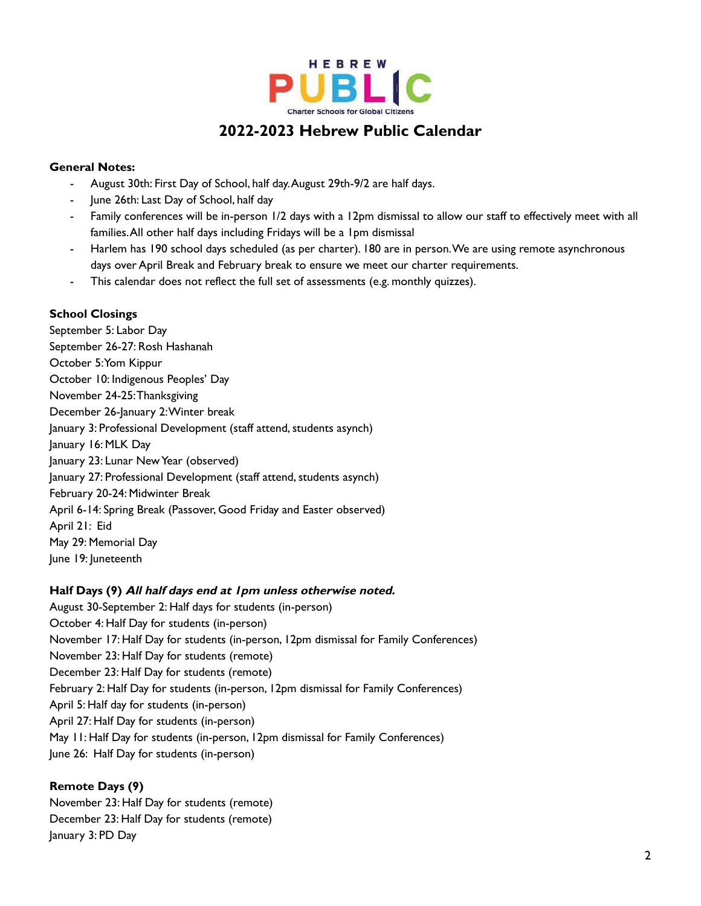

# **2022-2023 Hebrew Public Calendar**

## **General Notes:**

- August 30th: First Day of School, half day. August 29th-9/2 are half days.
- June 26th: Last Day of School, half day
- Family conferences will be in-person 1/2 days with a 12pm dismissal to allow our staff to effectively meet with all families.All other half days including Fridays will be a 1pm dismissal
- Harlem has 190 school days scheduled (as per charter). 180 are in person.We are using remote asynchronous days over April Break and February break to ensure we meet our charter requirements.
- This calendar does not reflect the full set of assessments (e.g. monthly quizzes).

### **School Closings**

September 5: Labor Day September 26-27: Rosh Hashanah October 5:Yom Kippur October 10: Indigenous Peoples' Day November 24-25:Thanksgiving December 26-January 2: Winter break January 3: Professional Development (staff attend, students asynch) January 16: MLK Day January 23: Lunar New Year (observed) January 27: Professional Development (staff attend, students asynch) February 20-24: Midwinter Break April 6-14: Spring Break (Passover, Good Friday and Easter observed) April 21: Eid May 29: Memorial Day June 19: Juneteenth

### **Half Days (9) All half days end at 1pm unless otherwise noted.**

August 30-September 2: Half days for students (in-person) October 4: Half Day for students (in-person) November 17: Half Day for students (in-person, 12pm dismissal for Family Conferences) November 23: Half Day for students (remote) December 23: Half Day for students (remote) February 2: Half Day for students (in-person, 12pm dismissal for Family Conferences) April 5: Half day for students (in-person) April 27: Half Day for students (in-person) May 11: Half Day for students (in-person, 12pm dismissal for Family Conferences) June 26: Half Day for students (in-person)

### **Remote Days (9)**

November 23: Half Day for students (remote) December 23: Half Day for students (remote) January 3: PD Day